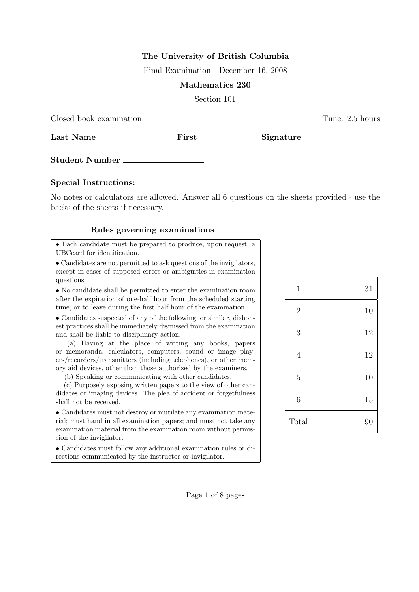## The University of British Columbia

Final Examination - December 16, 2008

### Mathematics 230

Section 101

Closed book examination **Time:** 2.5 hours

Last Name First Signature

Student Number

### Special Instructions:

No notes or calculators are allowed. Answer all 6 questions on the sheets provided - use the backs of the sheets if necessary.

#### Rules governing examinations

• Each candidate must be prepared to produce, upon request, a UBCcard for identification.

• Candidates are not permitted to ask questions of the invigilators, except in cases of supposed errors or ambiguities in examination questions.

• No candidate shall be permitted to enter the examination room after the expiration of one-half hour from the scheduled starting time, or to leave during the first half hour of the examination.

• Candidates suspected of any of the following, or similar, dishonest practices shall be immediately dismissed from the examination and shall be liable to disciplinary action.

(a) Having at the place of writing any books, papers or memoranda, calculators, computers, sound or image players/recorders/transmitters (including telephones), or other memory aid devices, other than those authorized by the examiners.

(b) Speaking or communicating with other candidates.

(c) Purposely exposing written papers to the view of other candidates or imaging devices. The plea of accident or forgetfulness shall not be received.

• Candidates must not destroy or mutilate any examination material; must hand in all examination papers; and must not take any examination material from the examination room without permission of the invigilator.

• Candidates must follow any additional examination rules or directions communicated by the instructor or invigilator.

| $1\,$            | 31 |
|------------------|----|
| $\overline{2}$   | 10 |
| 3                | 12 |
| $\overline{4}$   | 12 |
| $\overline{5}$   | 10 |
| $\boldsymbol{6}$ | 15 |
| Total            | 90 |

Page 1 of 8 pages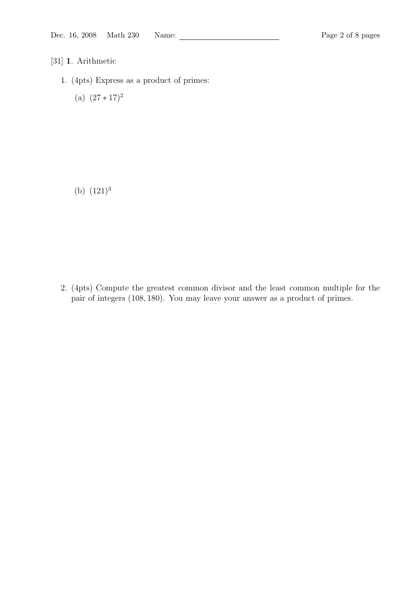- [31] 1. Arithmetic
	- 1. (4pts) Express as a product of primes:
		- (a)  $(27 * 17)^2$

(b)  $(121)^3$ 

2. (4pts) Compute the greatest common divisor and the least common multiple for the pair of integers (108, 180). You may leave your answer as a product of primes.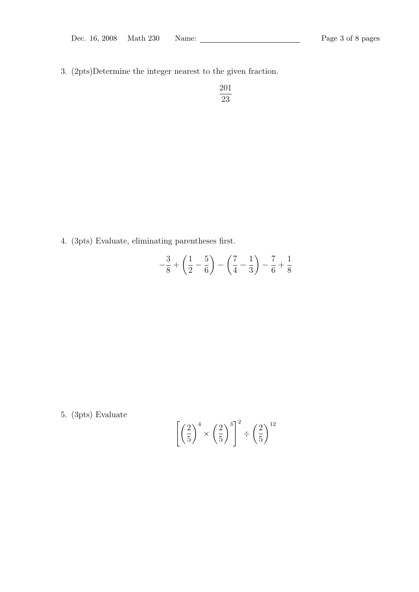3. (2pts)Determine the integer nearest to the given fraction.

$$
\frac{201}{23}
$$

4. (3pts) Evaluate, eliminating parentheses first.

$$
-\frac{3}{8} + \left(\frac{1}{2} - \frac{5}{6}\right) - \left(\frac{7}{4} - \frac{1}{3}\right) - \frac{7}{6} + \frac{1}{8}
$$

5. (3pts) Evaluate

$$
\left[\left(\frac{2}{5}\right)^4 \times \left(\frac{2}{5}\right)^3\right]^2 \div \left(\frac{2}{5}\right)^{12}
$$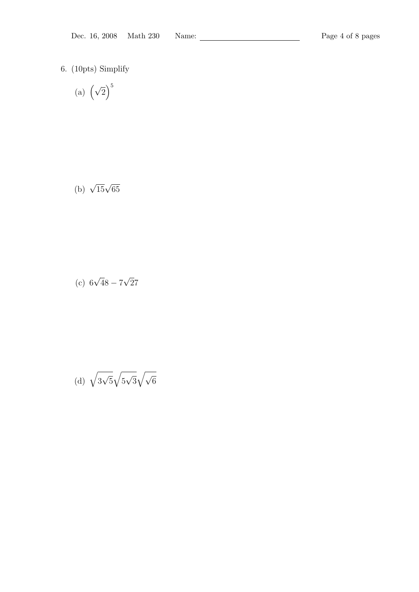6. (10pts) Simplify

(a) 
$$
\left(\sqrt{2}\right)^5
$$

$$
(b) \sqrt{15}\sqrt{65}
$$

(c) 
$$
6\sqrt{48} - 7\sqrt{27}
$$

(d) 
$$
\sqrt{3\sqrt{5}}\sqrt{5\sqrt{3}}\sqrt{\sqrt{6}}
$$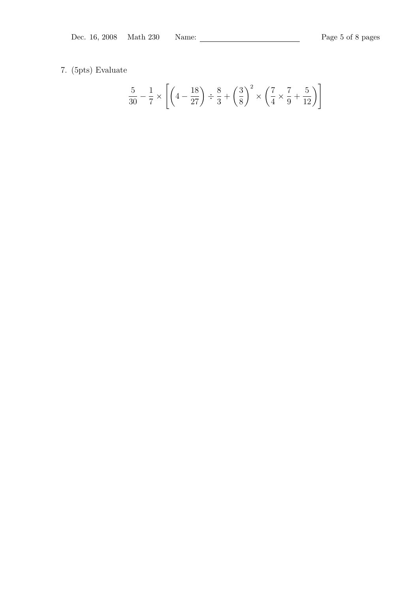# 7. (5pts) Evaluate

$$
\frac{5}{30} - \frac{1}{7} \times \left[ \left( 4 - \frac{18}{27} \right) \div \frac{8}{3} + \left( \frac{3}{8} \right)^2 \times \left( \frac{7}{4} \times \frac{7}{9} + \frac{5}{12} \right) \right]
$$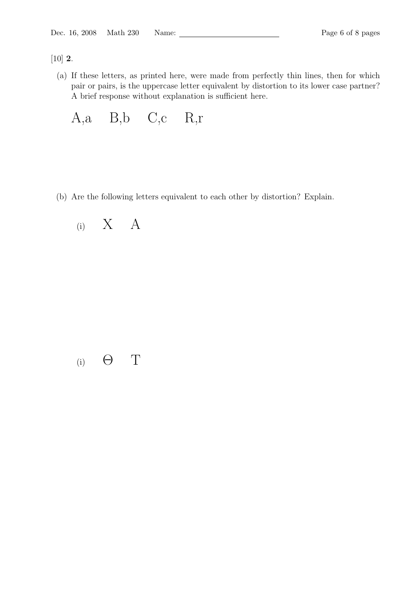[10] 2.

(a) If these letters, as printed here, were made from perfectly thin lines, then for which pair or pairs, is the uppercase letter equivalent by distortion to its lower case partner? A brief response without explanation is sufficient here.

A,a B,b C,c R,r

(b) Are the following letters equivalent to each other by distortion? Explain.



(i)  $\Theta$  T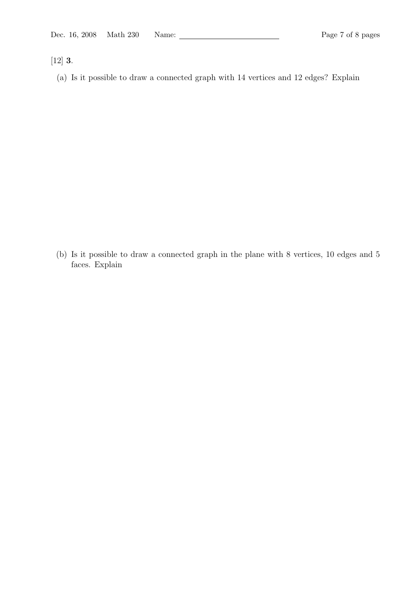[12] 3.

(a) Is it possible to draw a connected graph with 14 vertices and 12 edges? Explain

(b) Is it possible to draw a connected graph in the plane with 8 vertices, 10 edges and 5 faces. Explain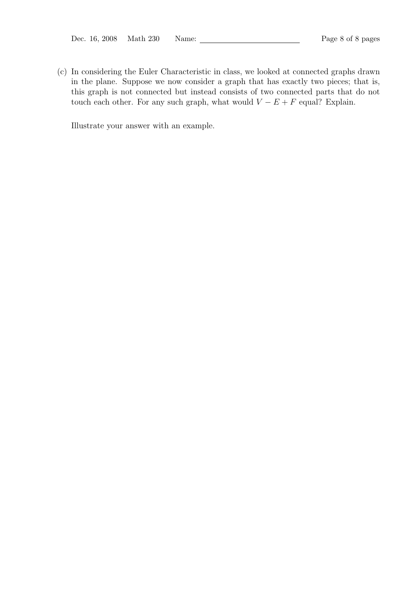(c) In considering the Euler Characteristic in class, we looked at connected graphs drawn in the plane. Suppose we now consider a graph that has exactly two pieces; that is, this graph is not connected but instead consists of two connected parts that do not touch each other. For any such graph, what would  $V - E + F$  equal? Explain.

Illustrate your answer with an example.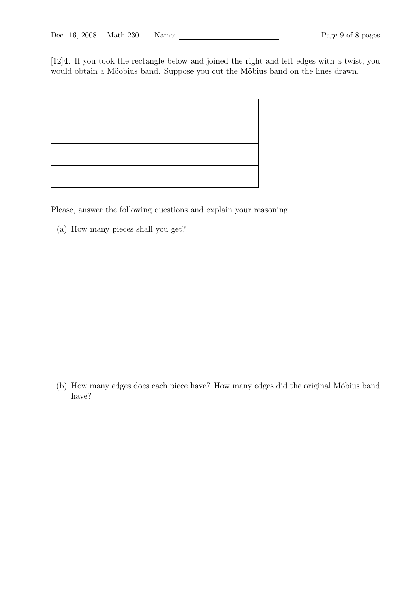[12]4. If you took the rectangle below and joined the right and left edges with a twist, you would obtain a Möobius band. Suppose you cut the Möbius band on the lines drawn.

Please, answer the following questions and explain your reasoning.

(a) How many pieces shall you get?

(b) How many edges does each piece have? How many edges did the original Möbius band have?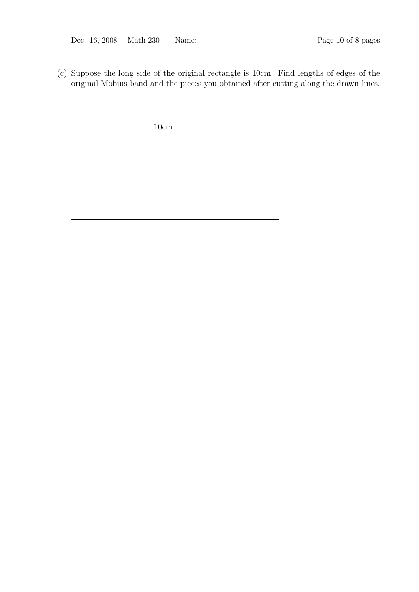(c) Suppose the long side of the original rectangle is 10cm. Find lengths of edges of the original Möbius band and the pieces you obtained after cutting along the drawn lines.

| 10cm |
|------|
|      |
|      |
|      |
|      |
|      |
|      |
|      |
|      |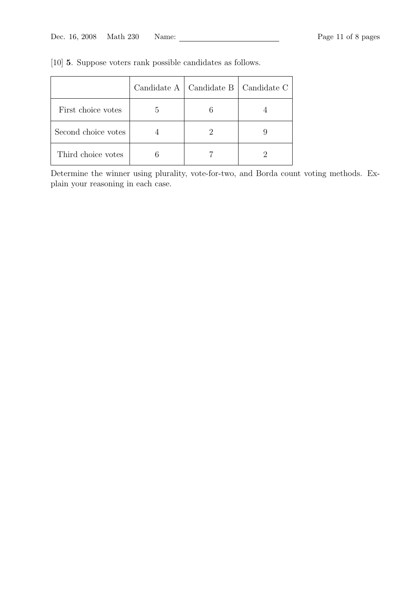|                     | Candidate $A \parallel$ | Candidate B   Candidate C |
|---------------------|-------------------------|---------------------------|
| First choice votes  |                         |                           |
| Second choice votes |                         |                           |
| Third choice votes  |                         |                           |

[10] 5. Suppose voters rank possible candidates as follows.

Determine the winner using plurality, vote-for-two, and Borda count voting methods. Explain your reasoning in each case.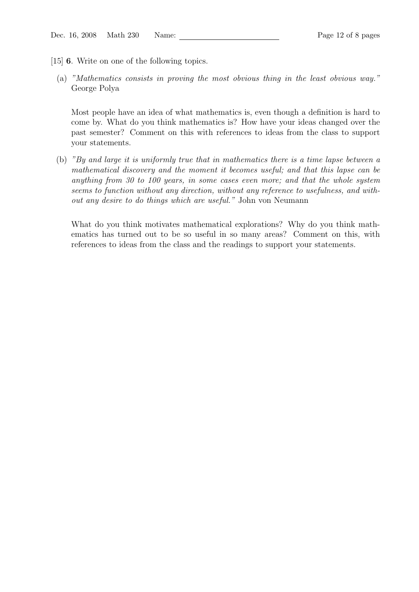- [15] 6. Write on one of the following topics.
	- (a) "Mathematics consists in proving the most obvious thing in the least obvious way." George Polya

Most people have an idea of what mathematics is, even though a definition is hard to come by. What do you think mathematics is? How have your ideas changed over the past semester? Comment on this with references to ideas from the class to support your statements.

(b) "By and large it is uniformly true that in mathematics there is a time lapse between a mathematical discovery and the moment it becomes useful; and that this lapse can be anything from 30 to 100 years, in some cases even more; and that the whole system seems to function without any direction, without any reference to usefulness, and without any desire to do things which are useful." John von Neumann

What do you think motivates mathematical explorations? Why do you think mathematics has turned out to be so useful in so many areas? Comment on this, with references to ideas from the class and the readings to support your statements.